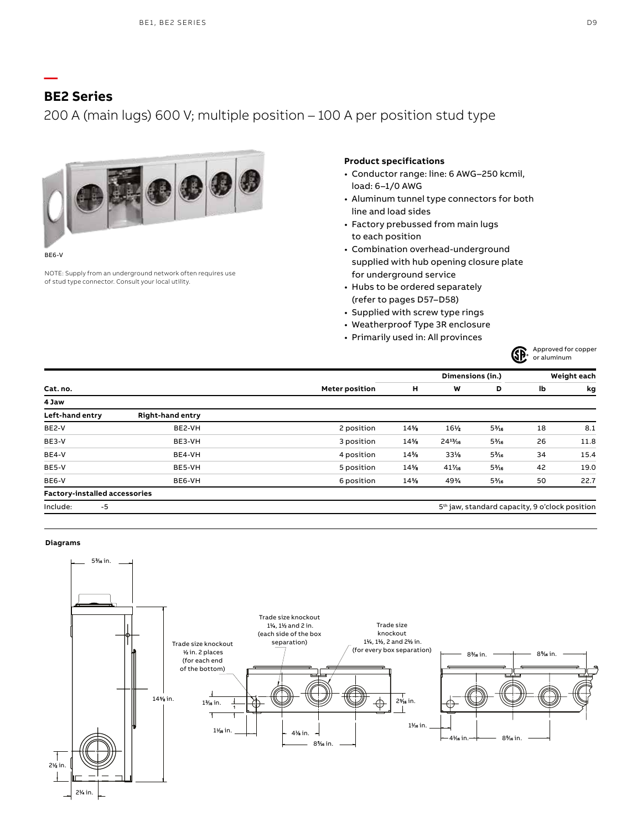## **BE2 Series**

**—**

## 200 A (main lugs) 600 V; multiple position – 100 A per position stud type



BE6-V

NOTE: Supply from an underground network often requires use of stud type connector. Consult your local utility.

### **Product specifications**

- Conductor range: line: 6 AWG–250 kcmil, load: 6–1/0 AWG
- Aluminum tunnel type connectors for both line and load sides
- Factory prebussed from main lugs to each position
- Combination overhead-underground supplied with hub opening closure plate for underground service
- Hubs to be ordered separately (refer to pages D57–D58)
- Supplied with screw type rings
- Weatherproof Type 3R enclosure
- Primarily used in: All provinces



|                                      |                  |                       |     | Dimensions (in.) |                                                            | Weight each |      |
|--------------------------------------|------------------|-----------------------|-----|------------------|------------------------------------------------------------|-------------|------|
| Cat. no.                             |                  | <b>Meter position</b> | н   | W                | D                                                          | lb          | kg   |
| 4 Jaw                                |                  |                       |     |                  |                                                            |             |      |
| Left-hand entry                      | Right-hand entry |                       |     |                  |                                                            |             |      |
| BE2-V                                | BE2-VH           | 2 position            | 14% | 16½              | $5\%$                                                      | 18          | 8.1  |
| BE3-V                                | BE3-VH           | 3 position            | 14% | $24^{11}/5$      | $5\%$                                                      | 26          | 11.8 |
| BE4-V                                | BE4-VH           | 4 position            | 14% | 33%              | $5\%$                                                      | 34          | 15.4 |
| BE5-V                                | BE5-VH           | 5 position            | 14% | 41%              | $5\%$                                                      | 42          | 19.0 |
| BE6-V                                | BE6-VH           | 6 position            | 14% | 49%              | $5\%$                                                      | 50          | 22.7 |
| <b>Factory-installed accessories</b> |                  |                       |     |                  |                                                            |             |      |
| Include:<br>$-5$                     |                  |                       |     |                  | 5 <sup>th</sup> jaw, standard capacity, 9 o'clock position |             |      |

#### **Diagrams**